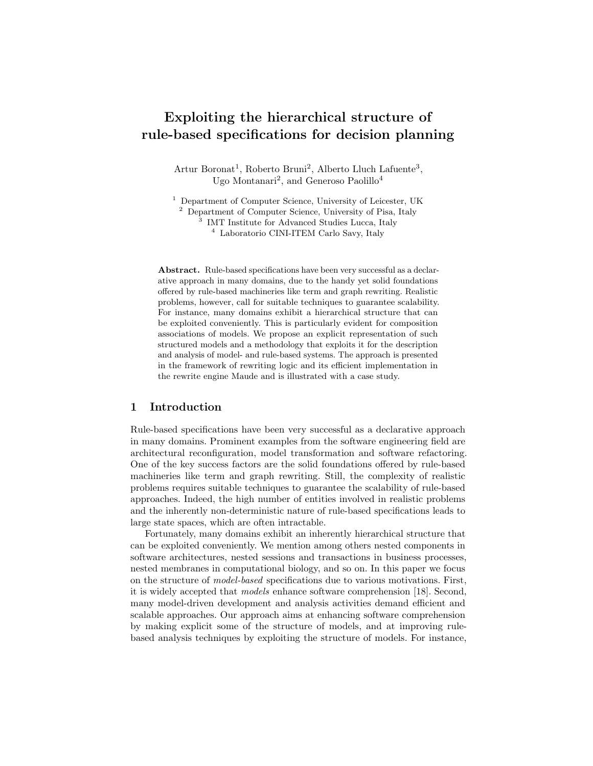# Exploiting the hierarchical structure of rule-based specifications for decision planning

Artur Boronat<sup>1</sup>, Roberto Bruni<sup>2</sup>, Alberto Lluch Lafuente<sup>3</sup>, Ugo Montanari<sup>2</sup>, and Generoso Paolillo<sup>4</sup>

<sup>1</sup> Department of Computer Science, University of Leicester, UK <sup>2</sup> Department of Computer Science, University of Pisa, Italy <sup>3</sup> IMT Institute for Advanced Studies Lucca, Italy

<sup>4</sup> Laboratorio CINI-ITEM Carlo Savy, Italy

Abstract. Rule-based specifications have been very successful as a declarative approach in many domains, due to the handy yet solid foundations offered by rule-based machineries like term and graph rewriting. Realistic problems, however, call for suitable techniques to guarantee scalability. For instance, many domains exhibit a hierarchical structure that can be exploited conveniently. This is particularly evident for composition associations of models. We propose an explicit representation of such structured models and a methodology that exploits it for the description and analysis of model- and rule-based systems. The approach is presented in the framework of rewriting logic and its efficient implementation in the rewrite engine Maude and is illustrated with a case study.

## 1 Introduction

Rule-based specifications have been very successful as a declarative approach in many domains. Prominent examples from the software engineering field are architectural reconfiguration, model transformation and software refactoring. One of the key success factors are the solid foundations offered by rule-based machineries like term and graph rewriting. Still, the complexity of realistic problems requires suitable techniques to guarantee the scalability of rule-based approaches. Indeed, the high number of entities involved in realistic problems and the inherently non-deterministic nature of rule-based specifications leads to large state spaces, which are often intractable.

Fortunately, many domains exhibit an inherently hierarchical structure that can be exploited conveniently. We mention among others nested components in software architectures, nested sessions and transactions in business processes, nested membranes in computational biology, and so on. In this paper we focus on the structure of model-based specifications due to various motivations. First, it is widely accepted that models enhance software comprehension [18]. Second, many model-driven development and analysis activities demand efficient and scalable approaches. Our approach aims at enhancing software comprehension by making explicit some of the structure of models, and at improving rulebased analysis techniques by exploiting the structure of models. For instance,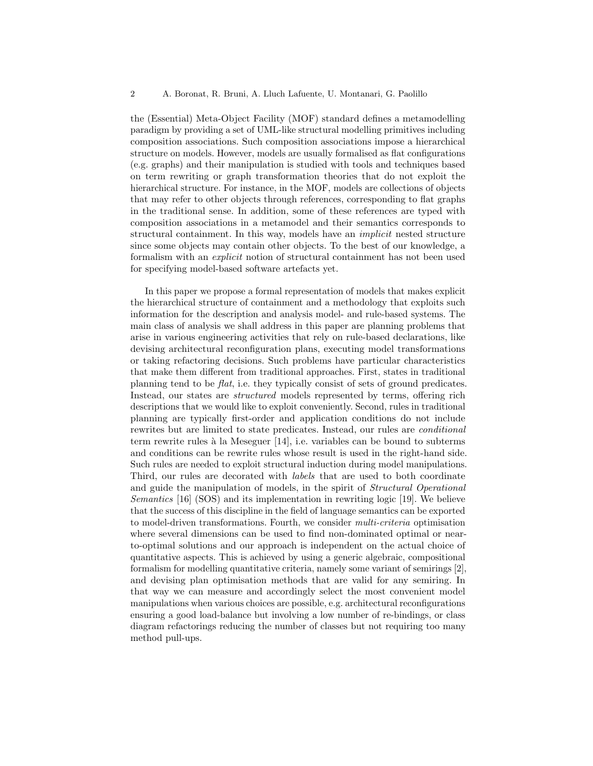the (Essential) Meta-Object Facility (MOF) standard defines a metamodelling paradigm by providing a set of UML-like structural modelling primitives including composition associations. Such composition associations impose a hierarchical structure on models. However, models are usually formalised as flat configurations (e.g. graphs) and their manipulation is studied with tools and techniques based on term rewriting or graph transformation theories that do not exploit the hierarchical structure. For instance, in the MOF, models are collections of objects that may refer to other objects through references, corresponding to flat graphs in the traditional sense. In addition, some of these references are typed with composition associations in a metamodel and their semantics corresponds to structural containment. In this way, models have an implicit nested structure since some objects may contain other objects. To the best of our knowledge, a formalism with an explicit notion of structural containment has not been used for specifying model-based software artefacts yet.

In this paper we propose a formal representation of models that makes explicit the hierarchical structure of containment and a methodology that exploits such information for the description and analysis model- and rule-based systems. The main class of analysis we shall address in this paper are planning problems that arise in various engineering activities that rely on rule-based declarations, like devising architectural reconfiguration plans, executing model transformations or taking refactoring decisions. Such problems have particular characteristics that make them different from traditional approaches. First, states in traditional planning tend to be flat, i.e. they typically consist of sets of ground predicates. Instead, our states are structured models represented by terms, offering rich descriptions that we would like to exploit conveniently. Second, rules in traditional planning are typically first-order and application conditions do not include rewrites but are limited to state predicates. Instead, our rules are conditional term rewrite rules à la Meseguer  $[14]$ , i.e. variables can be bound to subterms and conditions can be rewrite rules whose result is used in the right-hand side. Such rules are needed to exploit structural induction during model manipulations. Third, our rules are decorated with *labels* that are used to both coordinate and guide the manipulation of models, in the spirit of Structural Operational Semantics [16] (SOS) and its implementation in rewriting logic [19]. We believe that the success of this discipline in the field of language semantics can be exported to model-driven transformations. Fourth, we consider multi-criteria optimisation where several dimensions can be used to find non-dominated optimal or nearto-optimal solutions and our approach is independent on the actual choice of quantitative aspects. This is achieved by using a generic algebraic, compositional formalism for modelling quantitative criteria, namely some variant of semirings [2], and devising plan optimisation methods that are valid for any semiring. In that way we can measure and accordingly select the most convenient model manipulations when various choices are possible, e.g. architectural reconfigurations ensuring a good load-balance but involving a low number of re-bindings, or class diagram refactorings reducing the number of classes but not requiring too many method pull-ups.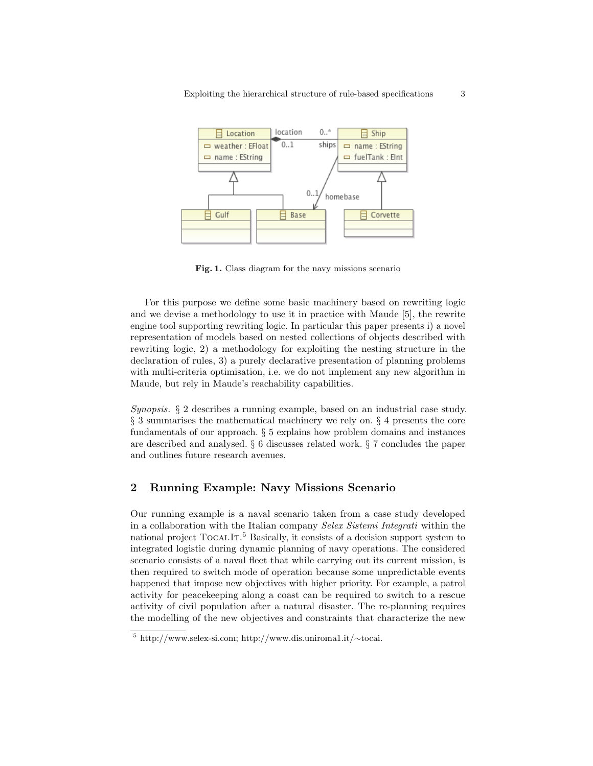

Fig. 1. Class diagram for the navy missions scenario

For this purpose we define some basic machinery based on rewriting logic and we devise a methodology to use it in practice with Maude [5], the rewrite engine tool supporting rewriting logic. In particular this paper presents i) a novel representation of models based on nested collections of objects described with rewriting logic, 2) a methodology for exploiting the nesting structure in the declaration of rules, 3) a purely declarative presentation of planning problems with multi-criteria optimisation, i.e. we do not implement any new algorithm in Maude, but rely in Maude's reachability capabilities.

Synopsis. § 2 describes a running example, based on an industrial case study. § 3 summarises the mathematical machinery we rely on. § 4 presents the core fundamentals of our approach. § 5 explains how problem domains and instances are described and analysed. § 6 discusses related work. § 7 concludes the paper and outlines future research avenues.

## 2 Running Example: Navy Missions Scenario

Our running example is a naval scenario taken from a case study developed in a collaboration with the Italian company Selex Sistemi Integrati within the national project TOCAI.IT.<sup>5</sup> Basically, it consists of a decision support system to integrated logistic during dynamic planning of navy operations. The considered scenario consists of a naval fleet that while carrying out its current mission, is then required to switch mode of operation because some unpredictable events happened that impose new objectives with higher priority. For example, a patrol activity for peacekeeping along a coast can be required to switch to a rescue activity of civil population after a natural disaster. The re-planning requires the modelling of the new objectives and constraints that characterize the new

<sup>5</sup> http://www.selex-si.com; http://www.dis.uniroma1.it/∼tocai.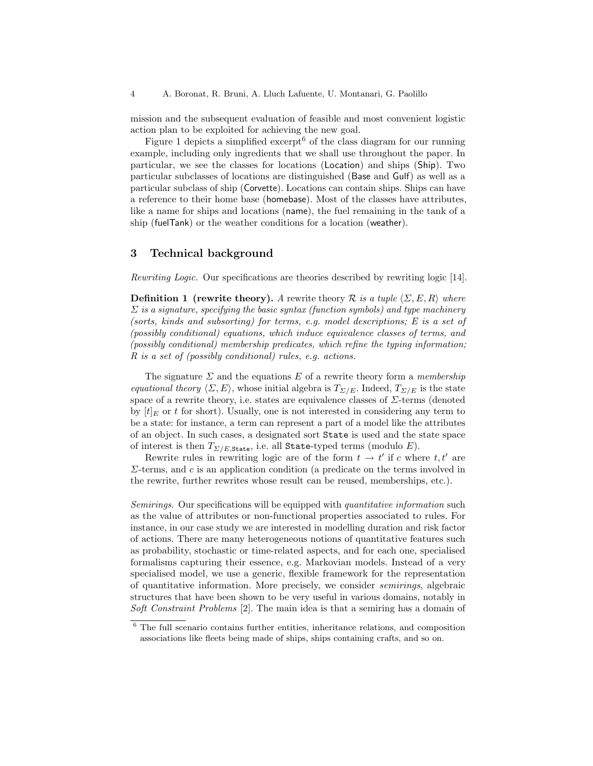mission and the subsequent evaluation of feasible and most convenient logistic action plan to be exploited for achieving the new goal.

Figure 1 depicts a simplified excerpt<sup>6</sup> of the class diagram for our running example, including only ingredients that we shall use throughout the paper. In particular, we see the classes for locations (Location) and ships (Ship). Two particular subclasses of locations are distinguished (Base and Gulf) as well as a particular subclass of ship (Corvette). Locations can contain ships. Ships can have a reference to their home base (homebase). Most of the classes have attributes, like a name for ships and locations (name), the fuel remaining in the tank of a ship (fuelTank) or the weather conditions for a location (weather).

## 3 Technical background

Rewriting Logic. Our specifications are theories described by rewriting logic [14].

**Definition 1** (rewrite theory). A rewrite theory R is a tuple  $\langle \Sigma, E, R \rangle$  where  $\Sigma$  is a signature, specifying the basic syntax (function symbols) and type machinery (sorts, kinds and subsorting) for terms, e.g. model descriptions; E is a set of (possibly conditional) equations, which induce equivalence classes of terms, and (possibly conditional) membership predicates, which refine the typing information; R is a set of (possibly conditional) rules, e.g. actions.

The signature  $\Sigma$  and the equations  $E$  of a rewrite theory form a *membership* equational theory  $\langle \Sigma, E \rangle$ , whose initial algebra is  $T_{\Sigma/E}$ . Indeed,  $T_{\Sigma/E}$  is the state space of a rewrite theory, i.e. states are equivalence classes of  $\Sigma$ -terms (denoted by  $[t]_E$  or t for short). Usually, one is not interested in considering any term to be a state: for instance, a term can represent a part of a model like the attributes of an object. In such cases, a designated sort State is used and the state space of interest is then  $T_{\Sigma/E, \texttt{State}}$ , i.e. all State-typed terms (modulo E).

Rewrite rules in rewriting logic are of the form  $t \to t'$  if c where  $t, t'$  are  $\Sigma$ -terms, and c is an application condition (a predicate on the terms involved in the rewrite, further rewrites whose result can be reused, memberships, etc.).

Semirings. Our specifications will be equipped with *quantitative information* such as the value of attributes or non-functional properties associated to rules. For instance, in our case study we are interested in modelling duration and risk factor of actions. There are many heterogeneous notions of quantitative features such as probability, stochastic or time-related aspects, and for each one, specialised formalisms capturing their essence, e.g. Markovian models. Instead of a very specialised model, we use a generic, flexible framework for the representation of quantitative information. More precisely, we consider semirings, algebraic structures that have been shown to be very useful in various domains, notably in Soft Constraint Problems [2]. The main idea is that a semiring has a domain of

 $6$  The full scenario contains further entities, inheritance relations, and composition associations like fleets being made of ships, ships containing crafts, and so on.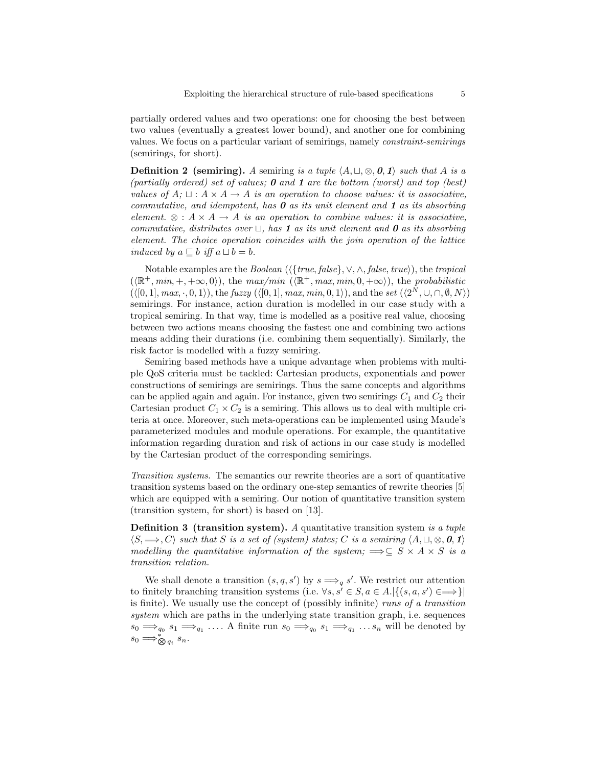partially ordered values and two operations: one for choosing the best between two values (eventually a greatest lower bound), and another one for combining values. We focus on a particular variant of semirings, namely constraint-semirings (semirings, for short).

**Definition 2** (semiring). A semiring is a tuple  $\langle A, \sqcup, \otimes, 0, 1 \rangle$  such that A is a (partially ordered) set of values; **0** and 1 are the bottom (worst) and top (best) values of  $A: \sqcup : A \times A \rightarrow A$  is an operation to choose values: it is associative, commutative, and idempotent, has 0 as its unit element and 1 as its absorbing element.  $\otimes : A \times A \rightarrow A$  is an operation to combine values: it is associative, commutative, distributes over  $\sqcup$ , has 1 as its unit element and 0 as its absorbing element. The choice operation coincides with the join operation of the lattice induced by  $a \sqsubseteq b$  iff  $a \sqcup b = b$ .

Notable examples are the Boolean ( $\langle \{true, false\}, \vee, \wedge, false, true \rangle$ ), the tropical  $(\langle \mathbb{R}^+, min, +, +\infty, 0 \rangle)$ , the max/min  $(\langle \mathbb{R}^+, max, min, 0, +\infty)$ , the probabilistic  $(\langle [0,1], \max, \cdot, 0, 1 \rangle),$  the fuzzy  $(\langle [0,1], \max, \min, 0, 1 \rangle),$  and the set  $(\langle 2^N, \cup, \cap, \emptyset, N \rangle)$ semirings. For instance, action duration is modelled in our case study with a tropical semiring. In that way, time is modelled as a positive real value, choosing between two actions means choosing the fastest one and combining two actions means adding their durations (i.e. combining them sequentially). Similarly, the risk factor is modelled with a fuzzy semiring.

Semiring based methods have a unique advantage when problems with multiple QoS criteria must be tackled: Cartesian products, exponentials and power constructions of semirings are semirings. Thus the same concepts and algorithms can be applied again and again. For instance, given two semirings  $C_1$  and  $C_2$  their Cartesian product  $C_1 \times C_2$  is a semiring. This allows us to deal with multiple criteria at once. Moreover, such meta-operations can be implemented using Maude's parameterized modules and module operations. For example, the quantitative information regarding duration and risk of actions in our case study is modelled by the Cartesian product of the corresponding semirings.

Transition systems. The semantics our rewrite theories are a sort of quantitative transition systems based on the ordinary one-step semantics of rewrite theories [5] which are equipped with a semiring. Our notion of quantitative transition system (transition system, for short) is based on [13].

**Definition 3 (transition system).** A quantitative transition system is a tuple  $\langle S, \Longrightarrow, C \rangle$  such that S is a set of (system) states; C is a semiring  $\langle A, \sqcup, \otimes, \mathbf{0}, \mathbf{1} \rangle$ modelling the quantitative information of the system;  $\Longrightarrow \subseteq S \times A \times S$  is a transition relation.

We shall denote a transition  $(s, q, s')$  by  $s \Longrightarrow_q s'$ . We restrict our attention to finitely branching transition systems (i.e.  $\forall s, s' \in S, a \in A$ .  $\{(s, a, s') \in \Longrightarrow\}$ ) is finite). We usually use the concept of (possibly infinite) runs of a transition system which are paths in the underlying state transition graph, i.e. sequences  $s_0 \Longrightarrow_{q_0} s_1 \Longrightarrow_{q_1} \ldots$  A finite run  $s_0 \Longrightarrow_{q_0} s_1 \Longrightarrow_{q_1} \ldots s_n$  will be denoted by  $s_0 \Longrightarrow_{\bigotimes q_i}^s s_n.$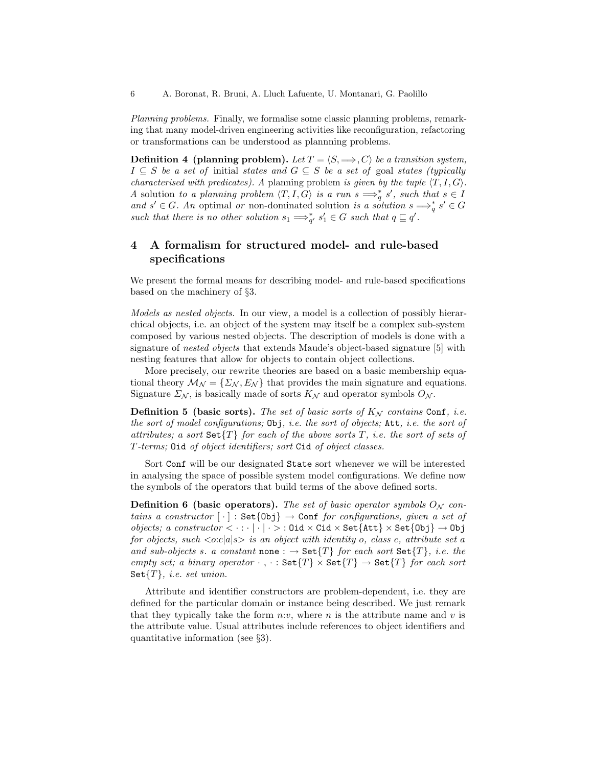Planning problems. Finally, we formalise some classic planning problems, remarking that many model-driven engineering activities like reconfiguration, refactoring or transformations can be understood as plannning problems.

**Definition 4 (planning problem).** Let  $T = \langle S, \Longrightarrow, C \rangle$  be a transition system,  $I \subseteq S$  be a set of initial states and  $G \subseteq S$  be a set of goal states (typically characterised with predicates). A planning problem is given by the tuple  $\langle T, I, G \rangle$ . A solution to a planning problem  $\langle T, I, G \rangle$  is a run  $s \Longrightarrow_q^* s'$ , such that  $s \in I$ and  $s' \in G$ . An optimal or non-dominated solution is a solution  $s \Longrightarrow_q^* s' \in G$ such that there is no other solution  $s_1 \Longrightarrow_{q'}^* s'_1 \in G$  such that  $q \sqsubseteq q'$ .

# 4 A formalism for structured model- and rule-based specifications

We present the formal means for describing model- and rule-based specifications based on the machinery of §3.

Models as nested objects. In our view, a model is a collection of possibly hierarchical objects, i.e. an object of the system may itself be a complex sub-system composed by various nested objects. The description of models is done with a signature of *nested objects* that extends Maude's object-based signature [5] with nesting features that allow for objects to contain object collections.

More precisely, our rewrite theories are based on a basic membership equational theory  $\mathcal{M}_{\mathcal{N}} = \{\Sigma_{\mathcal{N}}, E_{\mathcal{N}}\}\$  that provides the main signature and equations. Signature  $\Sigma_{\mathcal{N}}$ , is basically made of sorts  $K_{\mathcal{N}}$  and operator symbols  $O_{\mathcal{N}}$ .

**Definition 5 (basic sorts).** The set of basic sorts of  $K_N$  contains Conf, i.e. the sort of model configurations; Obj, i.e. the sort of objects; Att, i.e. the sort of attributes; a sort  $\text{Set}\{T\}$  for each of the above sorts T, i.e. the sort of sets of T-terms; Oid of object identifiers; sort Cid of object classes.

Sort Conf will be our designated State sort whenever we will be interested in analysing the space of possible system model configurations. We define now the symbols of the operators that build terms of the above defined sorts.

**Definition 6 (basic operators).** The set of basic operator symbols  $O_N$  contains a constructor  $[\cdot] : \mathsf{Set}{{\mathbb{Q}\mathrm{bj}}} \to \mathsf{Conf}$  for configurations, given a set of objects; a constructor  $\langle \cdot | \cdot | \cdot \rangle$ : Oid  $\times$  Cid  $\times$  Set{Att}  $\times$  Set{Obj}  $\rightarrow$  Obj for objects, such  $\langle \circ c | a | s \rangle$  is an object with identity o, class c, attribute set a and sub-objects s. a constant none :  $\rightarrow$  Set $\{T\}$  for each sort Set $\{T\}$ , i.e. the empty set; a binary operator  $\cdot$ ,  $\cdot$ : Set $\{T\} \times$  Set $\{T\} \to$  Set $\{T\}$  for each sort  $\texttt{Set}\{T\}$ , *i.e. set union.* 

Attribute and identifier constructors are problem-dependent, i.e. they are defined for the particular domain or instance being described. We just remark that they typically take the form  $n:v$ , where n is the attribute name and v is the attribute value. Usual attributes include references to object identifiers and quantitative information (see §3).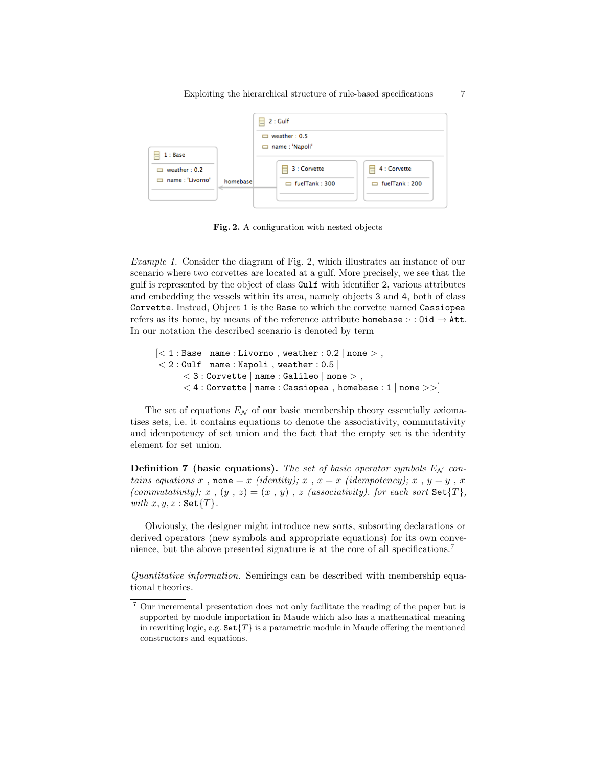

Fig. 2. A configuration with nested objects

Example 1. Consider the diagram of Fig. 2, which illustrates an instance of our scenario where two corvettes are located at a gulf. More precisely, we see that the gulf is represented by the object of class Gulf with identifier 2, various attributes and embedding the vessels within its area, namely objects 3 and 4, both of class Corvette. Instead, Object 1 is the Base to which the corvette named Cassiopea refers as its home, by means of the reference attribute homebase  $\cdot \cdot :$  Oid  $\rightarrow$  Att. In our notation the described scenario is denoted by term

```
| < 1 : Base | name : Livorno, weather : 0.2 | none >,
< 2 : Gulf | name : Napoli, weather : 0.5 |
      < 3 : Corvette | name : Galileo | none > ,
      < 4 : Corvette | name : Cassiopea, homebase : 1 | none >>]
```
The set of equations  $E_N$  of our basic membership theory essentially axiomatises sets, i.e. it contains equations to denote the associativity, commutativity and idempotency of set union and the fact that the empty set is the identity element for set union.

**Definition 7** (basic equations). The set of basic operator symbols  $E_N$  contains equations x, none  $=x$  (identity); x,  $x = x$  (idempotency); x,  $y = y$ , x (commutativity); x,  $(y, z) = (x, y)$ , z (associativity). for each sort  $\text{Set}\{T\}$ , with  $x, y, z : \texttt{Set}\{T\}$ .

Obviously, the designer might introduce new sorts, subsorting declarations or derived operators (new symbols and appropriate equations) for its own convenience, but the above presented signature is at the core of all specifications.<sup>7</sup>

Quantitative information. Semirings can be described with membership equational theories.

 $^7$  Our incremental presentation does not only facilitate the reading of the paper but is supported by module importation in Maude which also has a mathematical meaning in rewriting logic, e.g.  $\texttt{Set}\{T\}$  is a parametric module in Maude offering the mentioned constructors and equations.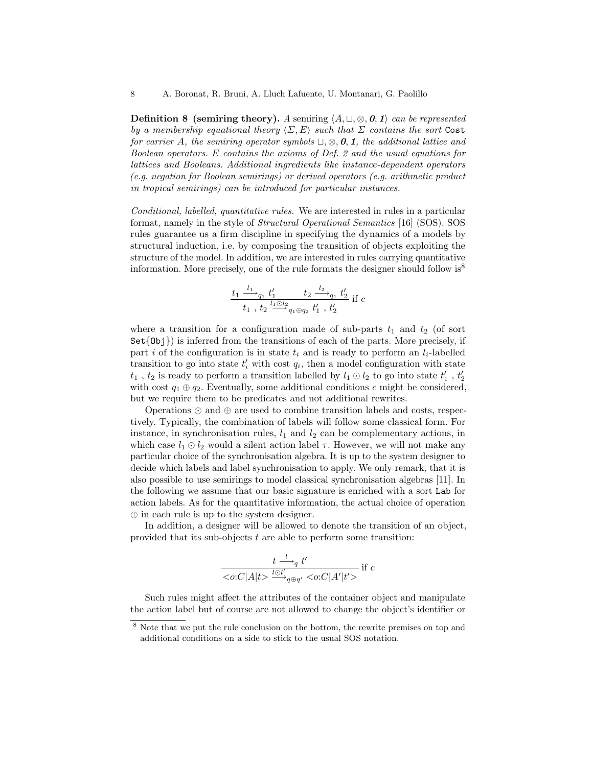**Definition 8 (semiring theory).** A semiring  $\langle A, \sqcup, \otimes, \mathbf{0}, \mathbf{1} \rangle$  can be represented by a membership equational theory  $\langle \Sigma, E \rangle$  such that  $\Sigma$  contains the sort Cost for carrier A, the semiring operator symbols  $\Box, \otimes, \mathbf{0}, \mathbf{1}$ , the additional lattice and Boolean operators. E contains the axioms of Def. 2 and the usual equations for lattices and Booleans. Additional ingredients like instance-dependent operators (e.g. negation for Boolean semirings) or derived operators (e.g. arithmetic product in tropical semirings) can be introduced for particular instances.

Conditional, labelled, quantitative rules. We are interested in rules in a particular format, namely in the style of Structural Operational Semantics [16] (SOS). SOS rules guarantee us a firm discipline in specifying the dynamics of a models by structural induction, i.e. by composing the transition of objects exploiting the structure of the model. In addition, we are interested in rules carrying quantitative information. More precisely, one of the rule formats the designer should follow is<sup>8</sup>

$$
\frac{t_1\xrightarrow{l_1}_{q_1}t'_1}{t_1\ ,\ t_2\xrightarrow{l_1\odot l_2}_{q_1\oplus q_2}t'_1\ ,\ t'_2}\text{ if }c
$$

where a transition for a configuration made of sub-parts  $t_1$  and  $t_2$  (of sort  $Set{Obj}$ ) is inferred from the transitions of each of the parts. More precisely, if part i of the configuration is in state  $t_i$  and is ready to perform an  $l_i$ -labelled transition to go into state  $t'_{i}$  with cost  $q_{i}$ , then a model configuration with state  $t_1$  ,  $t_2$  is ready to perform a transition labelled by  $l_1 \odot l_2$  to go into state  $t_1'$  ,  $t_2'$ with cost  $q_1 \oplus q_2$ . Eventually, some additional conditions c might be considered, but we require them to be predicates and not additional rewrites.

Operations  $\odot$  and  $\oplus$  are used to combine transition labels and costs, respectively. Typically, the combination of labels will follow some classical form. For instance, in synchronisation rules,  $l_1$  and  $l_2$  can be complementary actions, in which case  $l_1 \odot l_2$  would a silent action label  $\tau$ . However, we will not make any particular choice of the synchronisation algebra. It is up to the system designer to decide which labels and label synchronisation to apply. We only remark, that it is also possible to use semirings to model classical synchronisation algebras [11]. In the following we assume that our basic signature is enriched with a sort Lab for action labels. As for the quantitative information, the actual choice of operation ⊕ in each rule is up to the system designer.

In addition, a designer will be allowed to denote the transition of an object, provided that its sub-objects  $t$  are able to perform some transition:

$$
\frac{t \stackrel{l}{\longrightarrow}_q t'}{ < \text{o:C}} |A|t > \frac{l \odot l'}{2} q \oplus q'} < \text{o:C} |A'|t' > \text{if } c
$$

Such rules might affect the attributes of the container object and manipulate the action label but of course are not allowed to change the object's identifier or

<sup>8</sup> Note that we put the rule conclusion on the bottom, the rewrite premises on top and additional conditions on a side to stick to the usual SOS notation.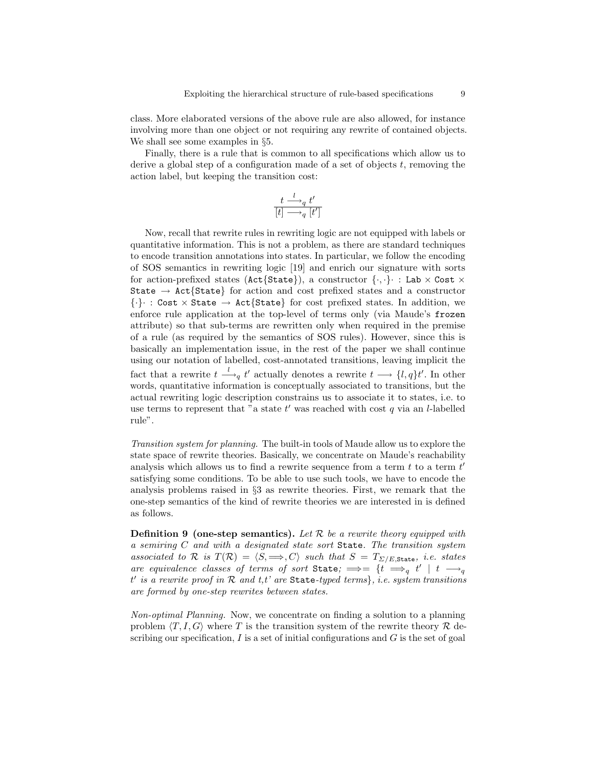class. More elaborated versions of the above rule are also allowed, for instance involving more than one object or not requiring any rewrite of contained objects. We shall see some examples in §5.

Finally, there is a rule that is common to all specifications which allow us to derive a global step of a configuration made of a set of objects  $t$ , removing the action label, but keeping the transition cost:

$$
\frac{t \stackrel{l}{\longrightarrow}_q t'}{[t] \longrightarrow_q [t']}
$$

Now, recall that rewrite rules in rewriting logic are not equipped with labels or quantitative information. This is not a problem, as there are standard techniques to encode transition annotations into states. In particular, we follow the encoding of SOS semantics in rewriting logic [19] and enrich our signature with sorts for action-prefixed states ( $Act{State}$ ), a constructor  $\{\cdot,\cdot\}$  : Lab  $\times$  Cost  $\times$ State  $\rightarrow$  Act{State} for action and cost prefixed states and a constructor  ${\cdot}$ : Cost  $\times$  State  $\rightarrow$  Act{State} for cost prefixed states. In addition, we enforce rule application at the top-level of terms only (via Maude's frozen attribute) so that sub-terms are rewritten only when required in the premise of a rule (as required by the semantics of SOS rules). However, since this is basically an implementation issue, in the rest of the paper we shall continue using our notation of labelled, cost-annotated transitions, leaving implicit the fact that a rewrite  $t \stackrel{l}{\longrightarrow}_q t'$  actually denotes a rewrite  $t \longrightarrow \{l,q\}t'$ . In other words, quantitative information is conceptually associated to transitions, but the actual rewriting logic description constrains us to associate it to states, i.e. to use terms to represent that "a state  $t'$  was reached with cost  $q$  via an *l*-labelled rule".

Transition system for planning. The built-in tools of Maude allow us to explore the state space of rewrite theories. Basically, we concentrate on Maude's reachability analysis which allows us to find a rewrite sequence from a term  $t$  to a term  $t'$ satisfying some conditions. To be able to use such tools, we have to encode the analysis problems raised in §3 as rewrite theories. First, we remark that the one-step semantics of the kind of rewrite theories we are interested in is defined as follows.

**Definition 9 (one-step semantics).** Let  $\mathcal{R}$  be a rewrite theory equipped with a semiring C and with a designated state sort State. The transition system associated to R is  $T(\mathcal{R}) = \langle S, \Longrightarrow, C \rangle$  such that  $S = T_{\Sigma/E, \text{State}}, i.e.$  states are equivalence classes of terms of sort State;  $\Longrightarrow$  =  $\{t \Longrightarrow_q t' \mid t \longrightarrow_q t' \}$  $t'$  is a rewrite proof in  $R$  and t,t' are State-typed terms}, i.e. system transitions are formed by one-step rewrites between states.

Non-optimal Planning. Now, we concentrate on finding a solution to a planning problem  $\langle T, I, G \rangle$  where T is the transition system of the rewrite theory R describing our specification,  $I$  is a set of initial configurations and  $G$  is the set of goal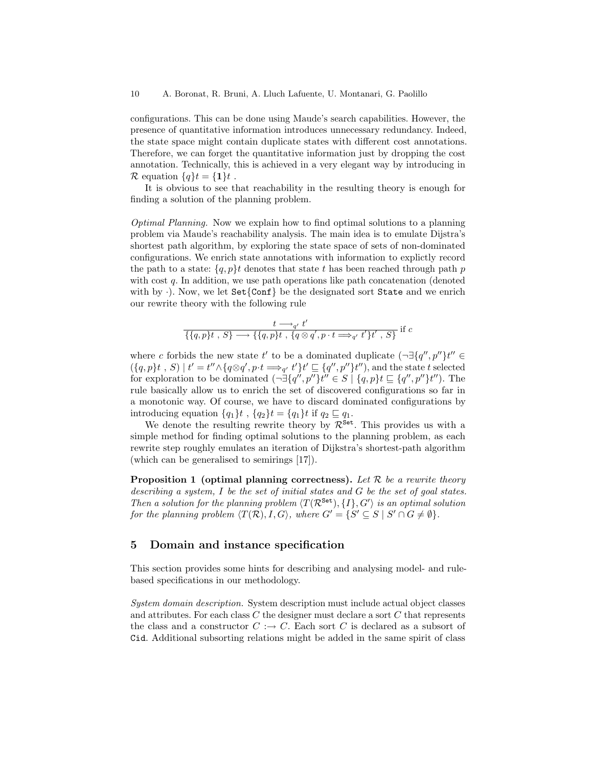configurations. This can be done using Maude's search capabilities. However, the presence of quantitative information introduces unnecessary redundancy. Indeed, the state space might contain duplicate states with different cost annotations. Therefore, we can forget the quantitative information just by dropping the cost annotation. Technically, this is achieved in a very elegant way by introducing in  $\mathcal{R}$  equation  $\{q\}t = \{1\}t$ .

It is obvious to see that reachability in the resulting theory is enough for finding a solution of the planning problem.

Optimal Planning. Now we explain how to find optimal solutions to a planning problem via Maude's reachability analysis. The main idea is to emulate Dijstra's shortest path algorithm, by exploring the state space of sets of non-dominated configurations. We enrich state annotations with information to explictly record the path to a state:  ${q, p}t$  denotes that state t has been reached through path p with cost  $q$ . In addition, we use path operations like path concatenation (denoted with by  $\cdot$ ). Now, we let Set{Conf} be the designated sort State and we enrich our rewrite theory with the following rule

$$
\frac{t \longrightarrow_{q'} t'}{\{\{q,p\}t\;,\;S\}\longrightarrow \{\{q,p\}t\;,\;\{q\otimes q',p\cdot t\Longrightarrow_{q'} t'\}t'\;,\;S\}}\;\text{if}\;c
$$

where c forbids the new state t' to be a dominated duplicate  $(\neg \exists \{q'', p''\} t'' \in$  $(\{q, p\}t, S) | t' = t'' \wedge \{q \otimes q', p \cdot t \Longrightarrow_{q'} t'\} t' \sqsubseteq \{q'', p''\} t'')$ , and the state t selected for exploration to be dominated  $\left(\neg \exists \{q'',p''\} t'' \in S \mid \{q,p\} t \sqsubseteq \{q'',p''\} t''\right)$ . The rule basically allow us to enrich the set of discovered configurations so far in a monotonic way. Of course, we have to discard dominated configurations by introducing equation  $\{q_1\}t$ ,  $\{q_2\}t = \{q_1\}t$  if  $q_2 \sqsubseteq q_1$ .

We denote the resulting rewrite theory by  $\mathcal{R}^{\text{Set}}$ . This provides us with a simple method for finding optimal solutions to the planning problem, as each rewrite step roughly emulates an iteration of Dijkstra's shortest-path algorithm (which can be generalised to semirings [17]).

**Proposition 1** (optimal planning correctness). Let  $\mathcal{R}$  be a rewrite theory describing a system, I be the set of initial states and G be the set of goal states. Then a solution for the planning problem  $\langle T(\mathcal{R}^{\text{Set}}), \{I\}, G'\rangle$  is an optimal solution for the planning problem  $\langle T(\mathcal{R}), I, G \rangle$ , where  $G' = \{ S' \subseteq S \mid S' \cap G \neq \emptyset \}.$ 

## 5 Domain and instance specification

This section provides some hints for describing and analysing model- and rulebased specifications in our methodology.

System domain description. System description must include actual object classes and attributes. For each class  $C$  the designer must declare a sort  $C$  that represents the class and a constructor  $C \rightarrow C$ . Each sort C is declared as a subsort of Cid. Additional subsorting relations might be added in the same spirit of class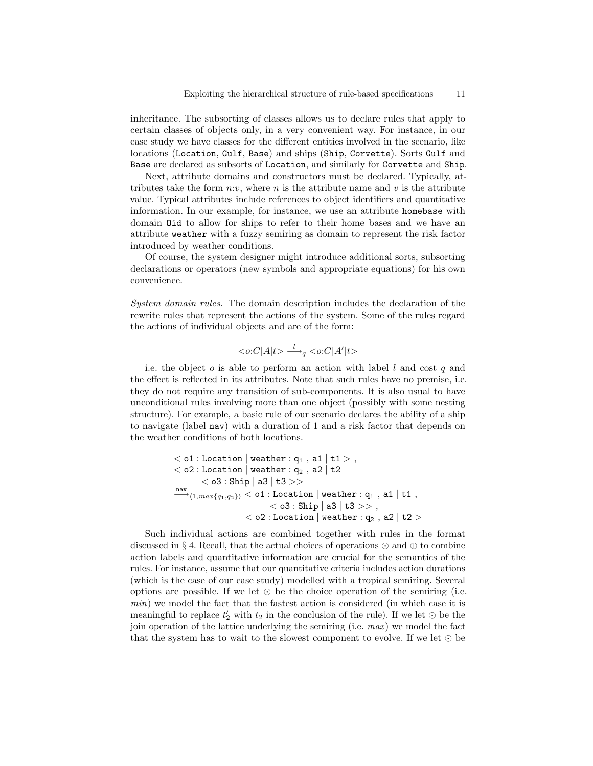inheritance. The subsorting of classes allows us to declare rules that apply to certain classes of objects only, in a very convenient way. For instance, in our case study we have classes for the different entities involved in the scenario, like locations (Location, Gulf, Base) and ships (Ship, Corvette). Sorts Gulf and Base are declared as subsorts of Location, and similarly for Corvette and Ship.

Next, attribute domains and constructors must be declared. Typically, attributes take the form n:v, where n is the attribute name and v is the attribute value. Typical attributes include references to object identifiers and quantitative information. In our example, for instance, we use an attribute homebase with domain Oid to allow for ships to refer to their home bases and we have an attribute weather with a fuzzy semiring as domain to represent the risk factor introduced by weather conditions.

Of course, the system designer might introduce additional sorts, subsorting declarations or operators (new symbols and appropriate equations) for his own convenience.

System domain rules. The domain description includes the declaration of the rewrite rules that represent the actions of the system. Some of the rules regard the actions of individual objects and are of the form:

$$
\langle \phi: C | A | t \rangle \xrightarrow{l} q \langle \phi: C | A' | t \rangle
$$

i.e. the object  $o$  is able to perform an action with label l and cost q and the effect is reflected in its attributes. Note that such rules have no premise, i.e. they do not require any transition of sub-components. It is also usual to have unconditional rules involving more than one object (possibly with some nesting structure). For example, a basic rule of our scenario declares the ability of a ship to navigate (label nav) with a duration of 1 and a risk factor that depends on the weather conditions of both locations.

$$
\begin{aligned} &< \texttt{ol:Location} \mid \text{weather}: q_1 \text{ , a1} \mid \texttt{t1} > \\ &< \texttt{o2:Location} \mid \text{weather}: q_2 \text{ , a2} \mid \texttt{t2} \\ &< \texttt{o3: Ship} \mid \texttt{a3} \mid \texttt{t3} > \\ &\xrightarrow{\texttt{nav}} \langle \texttt{l, max} \{q_1, q_2 \} \rangle \leq \texttt{ol:Location} \mid \texttt{weather}: q_1 \text{ , a1} \mid \texttt{t1} \text{ , } \\ &< \texttt{o3: Ship} \mid \texttt{a3} \mid \texttt{t3} > > \\ &< \texttt{o2: Location} \mid \texttt{weather}: q_2 \text{ , a2} \mid \texttt{t2} > \end{aligned}
$$

Such individual actions are combined together with rules in the format discussed in § 4. Recall, that the actual choices of operations  $\odot$  and  $\oplus$  to combine action labels and quantitative information are crucial for the semantics of the rules. For instance, assume that our quantitative criteria includes action durations (which is the case of our case study) modelled with a tropical semiring. Several options are possible. If we let  $\odot$  be the choice operation of the semiring (i.e. min) we model the fact that the fastest action is considered (in which case it is meaningful to replace  $t'_2$  with  $t_2$  in the conclusion of the rule). If we let  $\odot$  be the join operation of the lattice underlying the semiring (i.e.  $max$ ) we model the fact that the system has to wait to the slowest component to evolve. If we let  $\odot$  be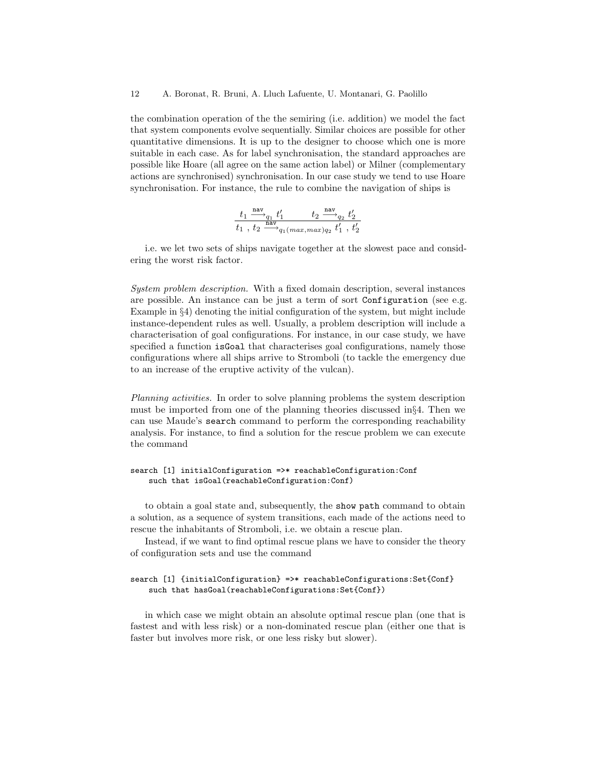the combination operation of the the semiring (i.e. addition) we model the fact that system components evolve sequentially. Similar choices are possible for other quantitative dimensions. It is up to the designer to choose which one is more suitable in each case. As for label synchronisation, the standard approaches are possible like Hoare (all agree on the same action label) or Milner (complementary actions are synchronised) synchronisation. In our case study we tend to use Hoare synchronisation. For instance, the rule to combine the navigation of ships is

$$
\frac{t_1 \xrightarrow{\text{nav}} q_1 t_1'}{t_1, t_2 \xrightarrow{\text{nav}} q_1 (\max, \max) q_2 t_1', t_2'} \frac{t_2 \xrightarrow{\text{nav}} q_2 t_2'}{t_1, t_2'}
$$

i.e. we let two sets of ships navigate together at the slowest pace and considering the worst risk factor.

System problem description. With a fixed domain description, several instances are possible. An instance can be just a term of sort Configuration (see e.g. Example in §4) denoting the initial configuration of the system, but might include instance-dependent rules as well. Usually, a problem description will include a characterisation of goal configurations. For instance, in our case study, we have specified a function isGoal that characterises goal configurations, namely those configurations where all ships arrive to Stromboli (to tackle the emergency due to an increase of the eruptive activity of the vulcan).

Planning activities. In order to solve planning problems the system description must be imported from one of the planning theories discussed in§4. Then we can use Maude's search command to perform the corresponding reachability analysis. For instance, to find a solution for the rescue problem we can execute the command

#### search [1] initialConfiguration =>\* reachableConfiguration:Conf such that isGoal(reachableConfiguration:Conf)

to obtain a goal state and, subsequently, the show path command to obtain a solution, as a sequence of system transitions, each made of the actions need to rescue the inhabitants of Stromboli, i.e. we obtain a rescue plan.

Instead, if we want to find optimal rescue plans we have to consider the theory of configuration sets and use the command

#### search [1] {initialConfiguration} =>\* reachableConfigurations:Set{Conf} such that hasGoal(reachableConfigurations:Set{Conf})

in which case we might obtain an absolute optimal rescue plan (one that is fastest and with less risk) or a non-dominated rescue plan (either one that is faster but involves more risk, or one less risky but slower).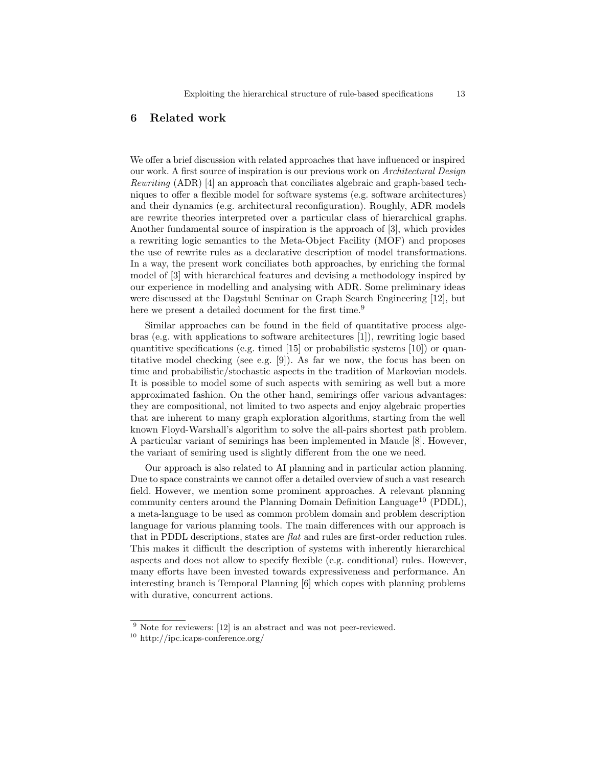## 6 Related work

We offer a brief discussion with related approaches that have influenced or inspired our work. A first source of inspiration is our previous work on Architectural Design Rewriting (ADR) [4] an approach that conciliates algebraic and graph-based techniques to offer a flexible model for software systems (e.g. software architectures) and their dynamics (e.g. architectural reconfiguration). Roughly, ADR models are rewrite theories interpreted over a particular class of hierarchical graphs. Another fundamental source of inspiration is the approach of [3], which provides a rewriting logic semantics to the Meta-Object Facility (MOF) and proposes the use of rewrite rules as a declarative description of model transformations. In a way, the present work conciliates both approaches, by enriching the formal model of [3] with hierarchical features and devising a methodology inspired by our experience in modelling and analysing with ADR. Some preliminary ideas were discussed at the Dagstuhl Seminar on Graph Search Engineering [12], but here we present a detailed document for the first time.<sup>9</sup>

Similar approaches can be found in the field of quantitative process algebras (e.g. with applications to software architectures [1]), rewriting logic based quantitive specifications (e.g. timed  $[15]$  or probabilistic systems  $[10]$ ) or quantitative model checking (see e.g.  $[9]$ ). As far we now, the focus has been on time and probabilistic/stochastic aspects in the tradition of Markovian models. It is possible to model some of such aspects with semiring as well but a more approximated fashion. On the other hand, semirings offer various advantages: they are compositional, not limited to two aspects and enjoy algebraic properties that are inherent to many graph exploration algorithms, starting from the well known Floyd-Warshall's algorithm to solve the all-pairs shortest path problem. A particular variant of semirings has been implemented in Maude [8]. However, the variant of semiring used is slightly different from the one we need.

Our approach is also related to AI planning and in particular action planning. Due to space constraints we cannot offer a detailed overview of such a vast research field. However, we mention some prominent approaches. A relevant planning community centers around the Planning Domain Definition Language<sup>10</sup> (PDDL), a meta-language to be used as common problem domain and problem description language for various planning tools. The main differences with our approach is that in PDDL descriptions, states are *flat* and rules are first-order reduction rules. This makes it difficult the description of systems with inherently hierarchical aspects and does not allow to specify flexible (e.g. conditional) rules. However, many efforts have been invested towards expressiveness and performance. An interesting branch is Temporal Planning [6] which copes with planning problems with durative, concurrent actions.

 $9$  Note for reviewers: [12] is an abstract and was not peer-reviewed.

<sup>10</sup> http://ipc.icaps-conference.org/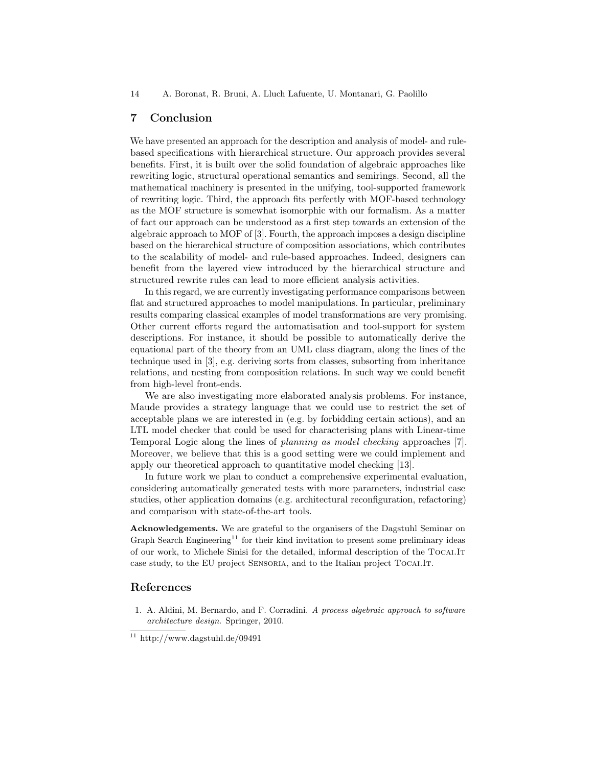14 A. Boronat, R. Bruni, A. Lluch Lafuente, U. Montanari, G. Paolillo

## 7 Conclusion

We have presented an approach for the description and analysis of model- and rulebased specifications with hierarchical structure. Our approach provides several benefits. First, it is built over the solid foundation of algebraic approaches like rewriting logic, structural operational semantics and semirings. Second, all the mathematical machinery is presented in the unifying, tool-supported framework of rewriting logic. Third, the approach fits perfectly with MOF-based technology as the MOF structure is somewhat isomorphic with our formalism. As a matter of fact our approach can be understood as a first step towards an extension of the algebraic approach to MOF of [3]. Fourth, the approach imposes a design discipline based on the hierarchical structure of composition associations, which contributes to the scalability of model- and rule-based approaches. Indeed, designers can benefit from the layered view introduced by the hierarchical structure and structured rewrite rules can lead to more efficient analysis activities.

In this regard, we are currently investigating performance comparisons between flat and structured approaches to model manipulations. In particular, preliminary results comparing classical examples of model transformations are very promising. Other current efforts regard the automatisation and tool-support for system descriptions. For instance, it should be possible to automatically derive the equational part of the theory from an UML class diagram, along the lines of the technique used in [3], e.g. deriving sorts from classes, subsorting from inheritance relations, and nesting from composition relations. In such way we could benefit from high-level front-ends.

We are also investigating more elaborated analysis problems. For instance, Maude provides a strategy language that we could use to restrict the set of acceptable plans we are interested in (e.g. by forbidding certain actions), and an LTL model checker that could be used for characterising plans with Linear-time Temporal Logic along the lines of planning as model checking approaches [7]. Moreover, we believe that this is a good setting were we could implement and apply our theoretical approach to quantitative model checking [13].

In future work we plan to conduct a comprehensive experimental evaluation, considering automatically generated tests with more parameters, industrial case studies, other application domains (e.g. architectural reconfiguration, refactoring) and comparison with state-of-the-art tools.

Acknowledgements. We are grateful to the organisers of the Dagstuhl Seminar on Graph Search Engineering<sup>11</sup> for their kind invitation to present some preliminary ideas of our work, to Michele Sinisi for the detailed, informal description of the Tocai.It case study, to the EU project Sensoria, and to the Italian project Tocai.It.

## References

1. A. Aldini, M. Bernardo, and F. Corradini. A process algebraic approach to software architecture design. Springer, 2010.

 $11$  http://www.dagstuhl.de/09491